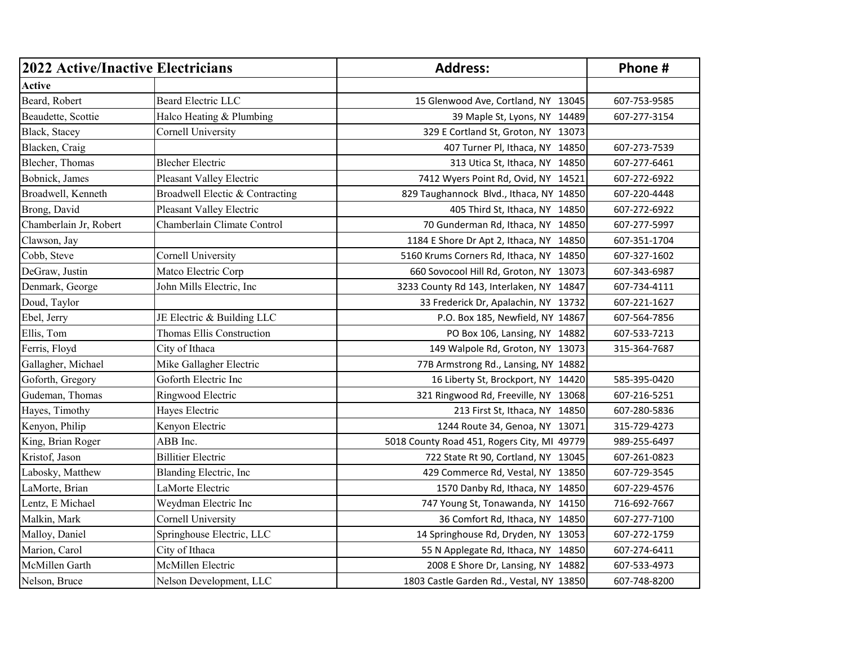| 2022 Active/Inactive Electricians |                                 | <b>Address:</b>                             | Phone #      |
|-----------------------------------|---------------------------------|---------------------------------------------|--------------|
| <b>Active</b>                     |                                 |                                             |              |
| Beard, Robert                     | <b>Beard Electric LLC</b>       | 15 Glenwood Ave, Cortland, NY 13045         | 607-753-9585 |
| Beaudette, Scottie                | Halco Heating & Plumbing        | 39 Maple St, Lyons, NY 14489                | 607-277-3154 |
| Black, Stacey                     | Cornell University              | 329 E Cortland St, Groton, NY 13073         |              |
| Blacken, Craig                    |                                 | 407 Turner Pl, Ithaca, NY 14850             | 607-273-7539 |
| Blecher, Thomas                   | <b>Blecher Electric</b>         | 313 Utica St, Ithaca, NY 14850              | 607-277-6461 |
| Bobnick, James                    | Pleasant Valley Electric        | 7412 Wyers Point Rd, Ovid, NY 14521         | 607-272-6922 |
| Broadwell, Kenneth                | Broadwell Electic & Contracting | 829 Taughannock Blvd., Ithaca, NY 14850     | 607-220-4448 |
| Brong, David                      | Pleasant Valley Electric        | 405 Third St, Ithaca, NY 14850              | 607-272-6922 |
| Chamberlain Jr, Robert            | Chamberlain Climate Control     | 70 Gunderman Rd, Ithaca, NY 14850           | 607-277-5997 |
| Clawson, Jay                      |                                 | 1184 E Shore Dr Apt 2, Ithaca, NY 14850     | 607-351-1704 |
| Cobb, Steve                       | Cornell University              | 5160 Krums Corners Rd, Ithaca, NY 14850     | 607-327-1602 |
| DeGraw, Justin                    | Matco Electric Corp             | 660 Sovocool Hill Rd, Groton, NY 13073      | 607-343-6987 |
| Denmark, George                   | John Mills Electric, Inc        | 3233 County Rd 143, Interlaken, NY 14847    | 607-734-4111 |
| Doud, Taylor                      |                                 | 33 Frederick Dr, Apalachin, NY 13732        | 607-221-1627 |
| Ebel, Jerry                       | JE Electric & Building LLC      | P.O. Box 185, Newfield, NY 14867            | 607-564-7856 |
| Ellis, Tom                        | Thomas Ellis Construction       | PO Box 106, Lansing, NY 14882               | 607-533-7213 |
| Ferris, Floyd                     | City of Ithaca                  | 149 Walpole Rd, Groton, NY 13073            | 315-364-7687 |
| Gallagher, Michael                | Mike Gallagher Electric         | 77B Armstrong Rd., Lansing, NY 14882        |              |
| Goforth, Gregory                  | Goforth Electric Inc            | 16 Liberty St, Brockport, NY 14420          | 585-395-0420 |
| Gudeman, Thomas                   | Ringwood Electric               | 321 Ringwood Rd, Freeville, NY 13068        | 607-216-5251 |
| Hayes, Timothy                    | Hayes Electric                  | 213 First St, Ithaca, NY 14850              | 607-280-5836 |
| Kenyon, Philip                    | Kenyon Electric                 | 1244 Route 34, Genoa, NY 13071              | 315-729-4273 |
| King, Brian Roger                 | ABB Inc.                        | 5018 County Road 451, Rogers City, MI 49779 | 989-255-6497 |
| Kristof, Jason                    | <b>Billitier Electric</b>       | 722 State Rt 90, Cortland, NY 13045         | 607-261-0823 |
| Labosky, Matthew                  | <b>Blanding Electric, Inc</b>   | 429 Commerce Rd, Vestal, NY 13850           | 607-729-3545 |
| LaMorte, Brian                    | LaMorte Electric                | 1570 Danby Rd, Ithaca, NY 14850             | 607-229-4576 |
| Lentz, E Michael                  | Weydman Electric Inc            | 747 Young St, Tonawanda, NY 14150           | 716-692-7667 |
| Malkin, Mark                      | Cornell University              | 36 Comfort Rd, Ithaca, NY 14850             | 607-277-7100 |
| Malloy, Daniel                    | Springhouse Electric, LLC       | 14 Springhouse Rd, Dryden, NY 13053         | 607-272-1759 |
| Marion, Carol                     | City of Ithaca                  | 55 N Applegate Rd, Ithaca, NY 14850         | 607-274-6411 |
| McMillen Garth                    | McMillen Electric               | 2008 E Shore Dr, Lansing, NY 14882          | 607-533-4973 |
| Nelson, Bruce                     | Nelson Development, LLC         | 1803 Castle Garden Rd., Vestal, NY 13850    | 607-748-8200 |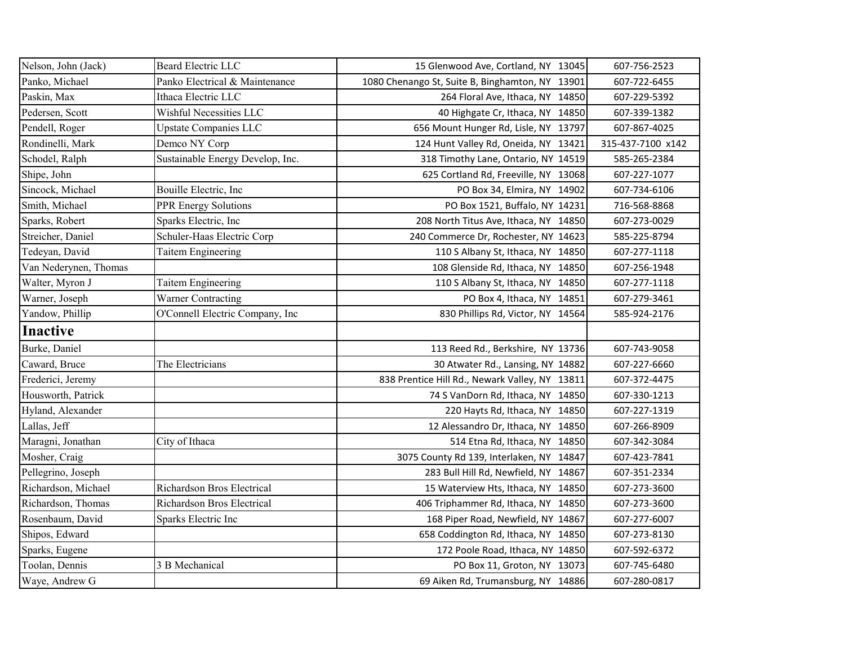| Nelson, John (Jack)   | Beard Electric LLC               | 15 Glenwood Ave, Cortland, NY 13045             | 607-756-2523      |
|-----------------------|----------------------------------|-------------------------------------------------|-------------------|
| Panko, Michael        | Panko Electrical & Maintenance   | 1080 Chenango St, Suite B, Binghamton, NY 13901 | 607-722-6455      |
| Paskin, Max           | Ithaca Electric LLC              | 264 Floral Ave, Ithaca, NY 14850                | 607-229-5392      |
| Pedersen, Scott       | Wishful Necessities LLC          | 40 Highgate Cr, Ithaca, NY 14850                | 607-339-1382      |
| Pendell, Roger        | Upstate Companies LLC            | 656 Mount Hunger Rd, Lisle, NY 13797            | 607-867-4025      |
| Rondinelli, Mark      | Demco NY Corp                    | 124 Hunt Valley Rd, Oneida, NY 13421            | 315-437-7100 x142 |
| Schodel, Ralph        | Sustainable Energy Develop, Inc. | 318 Timothy Lane, Ontario, NY 14519             | 585-265-2384      |
| Shipe, John           |                                  | 625 Cortland Rd, Freeville, NY 13068            | 607-227-1077      |
| Sincock, Michael      | Bouille Electric, Inc            | PO Box 34, Elmira, NY 14902                     | 607-734-6106      |
| Smith, Michael        | <b>PPR Energy Solutions</b>      | PO Box 1521, Buffalo, NY 14231                  | 716-568-8868      |
| Sparks, Robert        | Sparks Electric, Inc             | 208 North Titus Ave, Ithaca, NY 14850           | 607-273-0029      |
| Streicher, Daniel     | Schuler-Haas Electric Corp       | 240 Commerce Dr, Rochester, NY 14623            | 585-225-8794      |
| Tedeyan, David        | Taitem Engineering               | 110 S Albany St, Ithaca, NY 14850               | 607-277-1118      |
| Van Nederynen, Thomas |                                  | 108 Glenside Rd, Ithaca, NY 14850               | 607-256-1948      |
| Walter, Myron J       | Taitem Engineering               | 110 S Albany St, Ithaca, NY 14850               | 607-277-1118      |
| Warner, Joseph        | Warner Contracting               | PO Box 4, Ithaca, NY 14851                      | 607-279-3461      |
| Yandow, Phillip       | O'Connell Electric Company, Inc  | 830 Phillips Rd, Victor, NY 14564               | 585-924-2176      |
| Inactive              |                                  |                                                 |                   |
| Burke, Daniel         |                                  | 113 Reed Rd., Berkshire, NY 13736               | 607-743-9058      |
| Caward, Bruce         | The Electricians                 | 30 Atwater Rd., Lansing, NY 14882               | 607-227-6660      |
| Frederici, Jeremy     |                                  | 838 Prentice Hill Rd., Newark Valley, NY 13811  | 607-372-4475      |
| Housworth, Patrick    |                                  | 74 S VanDorn Rd, Ithaca, NY 14850               | 607-330-1213      |
| Hyland, Alexander     |                                  | 220 Hayts Rd, Ithaca, NY 14850                  | 607-227-1319      |
| Lallas, Jeff          |                                  | 12 Alessandro Dr, Ithaca, NY 14850              | 607-266-8909      |
| Maragni, Jonathan     | City of Ithaca                   | 514 Etna Rd, Ithaca, NY 14850                   | 607-342-3084      |
| Mosher, Craig         |                                  | 3075 County Rd 139, Interlaken, NY 14847        | 607-423-7841      |
| Pellegrino, Joseph    |                                  | 283 Bull Hill Rd, Newfield, NY 14867            | 607-351-2334      |
| Richardson, Michael   | Richardson Bros Electrical       | 15 Waterview Hts, Ithaca, NY 14850              | 607-273-3600      |
| Richardson, Thomas    | Richardson Bros Electrical       | 406 Triphammer Rd, Ithaca, NY 14850             | 607-273-3600      |
| Rosenbaum, David      | Sparks Electric Inc              | 168 Piper Road, Newfield, NY 14867              | 607-277-6007      |
| Shipos, Edward        |                                  | 658 Coddington Rd, Ithaca, NY 14850             | 607-273-8130      |
| Sparks, Eugene        |                                  | 172 Poole Road, Ithaca, NY 14850                | 607-592-6372      |
| Toolan, Dennis        | 3 B Mechanical                   | PO Box 11, Groton, NY 13073                     | 607-745-6480      |
| Waye, Andrew G        |                                  | 69 Aiken Rd, Trumansburg, NY 14886              | 607-280-0817      |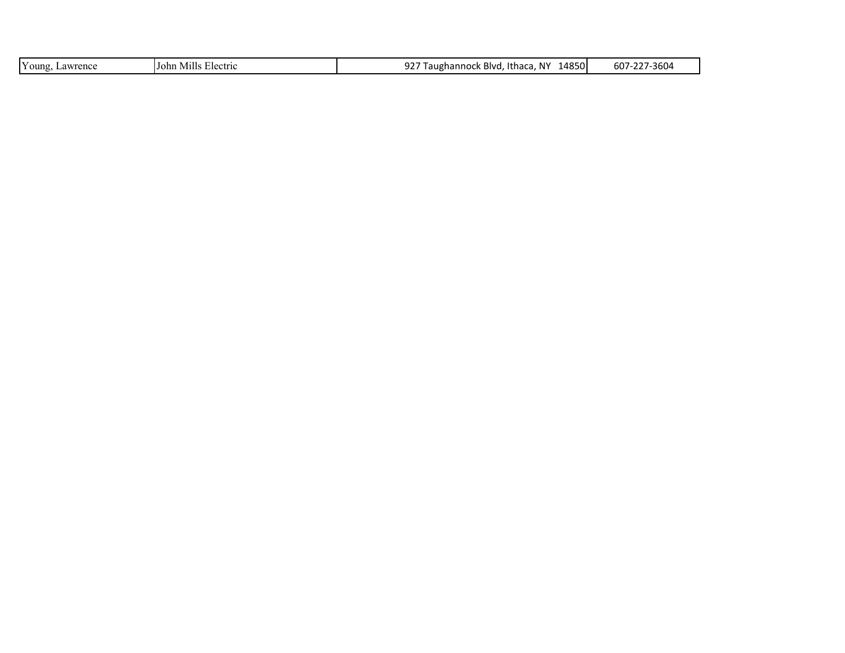| $\mathbf{r}$<br>1 oung<br>. cence<br>∟aw* | -<br>0.01x<br>IJohn.<br>. .<br>$\cup$ ICULIU<br>171115 | 4850<br>$\sim$<br><b>NIV</b><br>.<br>Ithaca<br><b>Blvc</b><br>. uannock<br>. .<br>ΙVΙ<br>. GUM<br>ے ر | -3604<br>$\sim$ $\sim$ $\sim$<br>юU<br>. .<br>. . |
|-------------------------------------------|--------------------------------------------------------|-------------------------------------------------------------------------------------------------------|---------------------------------------------------|